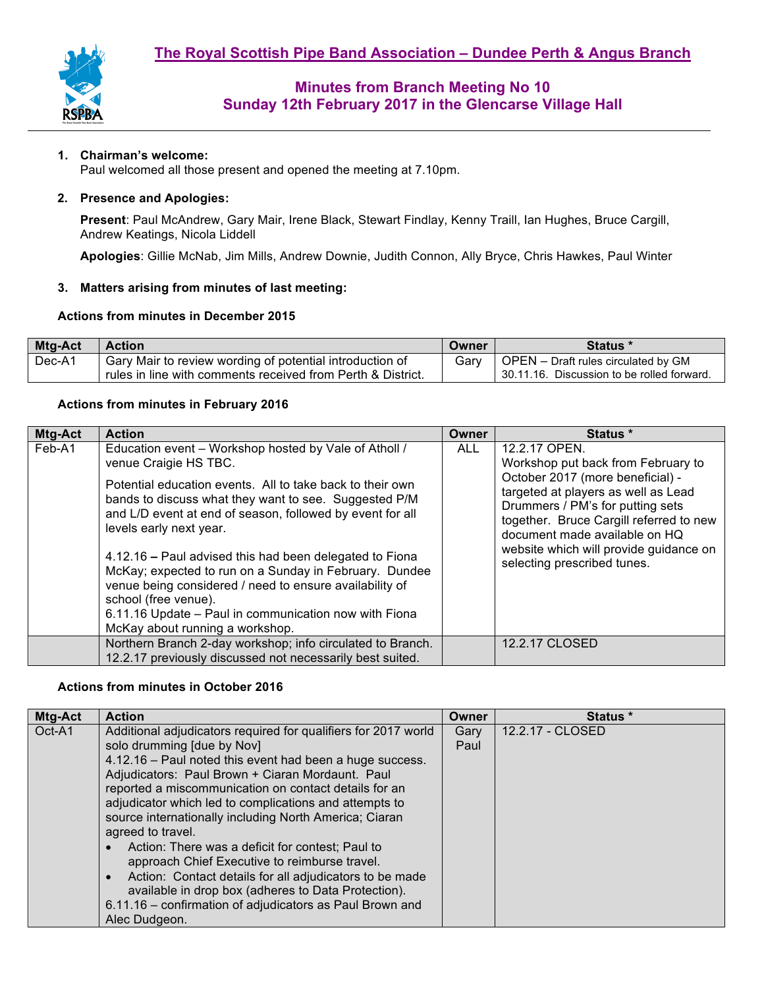

### **1. Chairman's welcome:**

Paul welcomed all those present and opened the meeting at 7.10pm.

#### **2. Presence and Apologies:**

**Present**: Paul McAndrew, Gary Mair, Irene Black, Stewart Findlay, Kenny Traill, Ian Hughes, Bruce Cargill, Andrew Keatings, Nicola Liddell

**Apologies**: Gillie McNab, Jim Mills, Andrew Downie, Judith Connon, Ally Bryce, Chris Hawkes, Paul Winter

#### **3. Matters arising from minutes of last meeting:**

#### **Actions from minutes in December 2015**

| <b>Mtg-Act</b> | <b>Action</b>                                               | Owner | <b>Status</b> *                            |
|----------------|-------------------------------------------------------------|-------|--------------------------------------------|
| Dec-A1         | Gary Mair to review wording of potential introduction of    | Garv  | OPEN - Draft rules circulated by GM        |
|                | rules in line with comments received from Perth & District. |       | 30.11.16. Discussion to be rolled forward. |

#### **Actions from minutes in February 2016**

| Mtg-Act | <b>Action</b>                                                                                                                                                                                                                                                                                                                                                                                                                                                                                                                                                                                    | Owner      | Status *                                                                                                                                                                                                                                                                                                                |
|---------|--------------------------------------------------------------------------------------------------------------------------------------------------------------------------------------------------------------------------------------------------------------------------------------------------------------------------------------------------------------------------------------------------------------------------------------------------------------------------------------------------------------------------------------------------------------------------------------------------|------------|-------------------------------------------------------------------------------------------------------------------------------------------------------------------------------------------------------------------------------------------------------------------------------------------------------------------------|
| Feb-A1  | Education event - Workshop hosted by Vale of Atholl /<br>venue Craigie HS TBC.<br>Potential education events. All to take back to their own<br>bands to discuss what they want to see. Suggested P/M<br>and L/D event at end of season, followed by event for all<br>levels early next year.<br>4.12.16 – Paul advised this had been delegated to Fiona<br>McKay; expected to run on a Sunday in February. Dundee<br>venue being considered / need to ensure availability of<br>school (free venue).<br>6.11.16 Update - Paul in communication now with Fiona<br>McKay about running a workshop. | <b>ALL</b> | 12.2.17 OPEN.<br>Workshop put back from February to<br>October 2017 (more beneficial) -<br>targeted at players as well as Lead<br>Drummers / PM's for putting sets<br>together. Bruce Cargill referred to new<br>document made available on HQ<br>website which will provide guidance on<br>selecting prescribed tunes. |
|         | Northern Branch 2-day workshop; info circulated to Branch.<br>12.2.17 previously discussed not necessarily best suited.                                                                                                                                                                                                                                                                                                                                                                                                                                                                          |            | 12.2.17 CLOSED                                                                                                                                                                                                                                                                                                          |

#### **Actions from minutes in October 2016**

| Mtg-Act | <b>Action</b>                                                        | Owner | Status *         |
|---------|----------------------------------------------------------------------|-------|------------------|
| Oct-A1  | Additional adjudicators required for qualifiers for 2017 world       | Gary  | 12.2.17 - CLOSED |
|         | solo drumming [due by Nov]                                           | Paul  |                  |
|         | 4.12.16 - Paul noted this event had been a huge success.             |       |                  |
|         | Adjudicators: Paul Brown + Ciaran Mordaunt. Paul                     |       |                  |
|         | reported a miscommunication on contact details for an                |       |                  |
|         | adjudicator which led to complications and attempts to               |       |                  |
|         | source internationally including North America; Ciaran               |       |                  |
|         | agreed to travel.                                                    |       |                  |
|         | Action: There was a deficit for contest; Paul to<br>$\bullet$        |       |                  |
|         | approach Chief Executive to reimburse travel.                        |       |                  |
|         | Action: Contact details for all adjudicators to be made<br>$\bullet$ |       |                  |
|         | available in drop box (adheres to Data Protection).                  |       |                  |
|         | 6.11.16 - confirmation of adjudicators as Paul Brown and             |       |                  |
|         | Alec Dudgeon.                                                        |       |                  |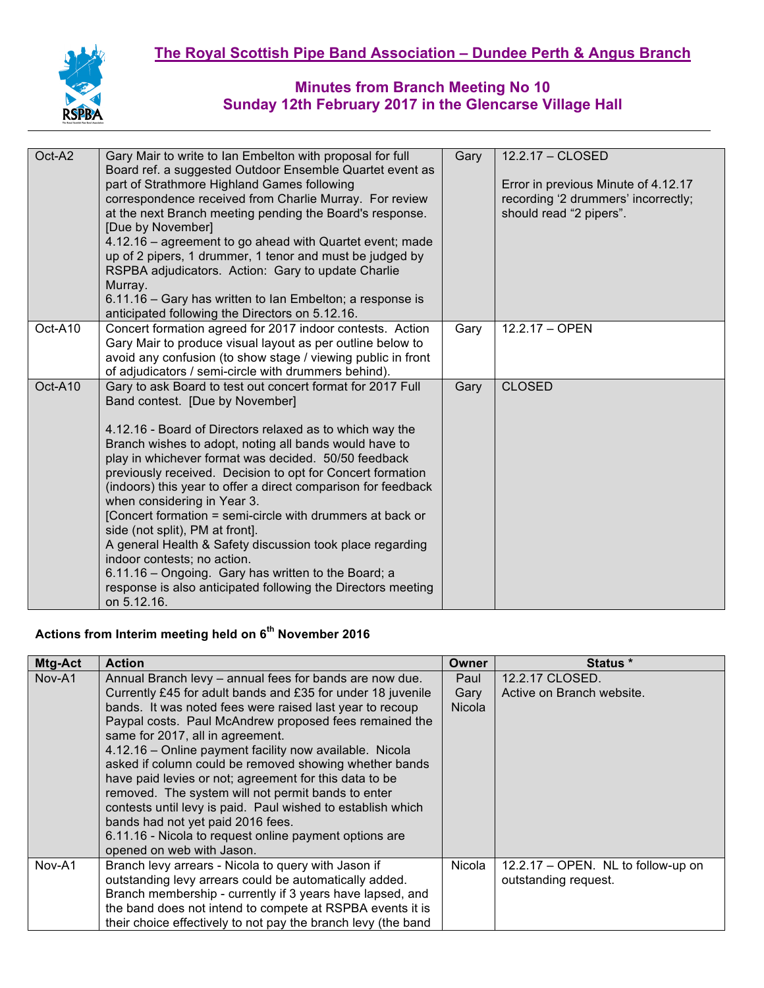

| Oct-A2  | Gary Mair to write to Ian Embelton with proposal for full<br>Board ref. a suggested Outdoor Ensemble Quartet event as<br>part of Strathmore Highland Games following<br>correspondence received from Charlie Murray. For review<br>at the next Branch meeting pending the Board's response.<br>[Due by November]<br>4.12.16 – agreement to go ahead with Quartet event; made<br>up of 2 pipers, 1 drummer, 1 tenor and must be judged by<br>RSPBA adjudicators. Action: Gary to update Charlie<br>Murray.<br>6.11.16 – Gary has written to Ian Embelton; a response is<br>anticipated following the Directors on 5.12.16.                                                                                                                                                   | Gary | 12.2.17 - CLOSED<br>Error in previous Minute of 4.12.17<br>recording '2 drummers' incorrectly;<br>should read "2 pipers". |
|---------|-----------------------------------------------------------------------------------------------------------------------------------------------------------------------------------------------------------------------------------------------------------------------------------------------------------------------------------------------------------------------------------------------------------------------------------------------------------------------------------------------------------------------------------------------------------------------------------------------------------------------------------------------------------------------------------------------------------------------------------------------------------------------------|------|---------------------------------------------------------------------------------------------------------------------------|
| Oct-A10 | Concert formation agreed for 2017 indoor contests. Action<br>Gary Mair to produce visual layout as per outline below to<br>avoid any confusion (to show stage / viewing public in front<br>of adjudicators / semi-circle with drummers behind).                                                                                                                                                                                                                                                                                                                                                                                                                                                                                                                             | Gary | 12.2.17 - OPEN                                                                                                            |
| Oct-A10 | Gary to ask Board to test out concert format for 2017 Full<br>Band contest. [Due by November]<br>4.12.16 - Board of Directors relaxed as to which way the<br>Branch wishes to adopt, noting all bands would have to<br>play in whichever format was decided. 50/50 feedback<br>previously received. Decision to opt for Concert formation<br>(indoors) this year to offer a direct comparison for feedback<br>when considering in Year 3.<br>[Concert formation = semi-circle with drummers at back or<br>side (not split), PM at front].<br>A general Health & Safety discussion took place regarding<br>indoor contests; no action.<br>6.11.16 - Ongoing. Gary has written to the Board; a<br>response is also anticipated following the Directors meeting<br>on 5.12.16. | Gary | <b>CLOSED</b>                                                                                                             |

# **Actions from Interim meeting held on 6th November 2016**

| <b>Mtg-Act</b> | <b>Action</b>                                                 | <b>Owner</b>  | Status *                           |
|----------------|---------------------------------------------------------------|---------------|------------------------------------|
| Nov-A1         | Annual Branch levy - annual fees for bands are now due.       | Paul          | 12.2.17 CLOSED.                    |
|                | Currently £45 for adult bands and £35 for under 18 juvenile   | Gary          | Active on Branch website.          |
|                | bands. It was noted fees were raised last year to recoup      | <b>Nicola</b> |                                    |
|                | Paypal costs. Paul McAndrew proposed fees remained the        |               |                                    |
|                | same for 2017, all in agreement.                              |               |                                    |
|                | 4.12.16 - Online payment facility now available. Nicola       |               |                                    |
|                | asked if column could be removed showing whether bands        |               |                                    |
|                | have paid levies or not; agreement for this data to be        |               |                                    |
|                | removed. The system will not permit bands to enter            |               |                                    |
|                | contests until levy is paid. Paul wished to establish which   |               |                                    |
|                | bands had not yet paid 2016 fees.                             |               |                                    |
|                | 6.11.16 - Nicola to request online payment options are        |               |                                    |
|                | opened on web with Jason.                                     |               |                                    |
| Nov-A1         | Branch levy arrears - Nicola to query with Jason if           | Nicola        | 12.2.17 - OPEN. NL to follow-up on |
|                | outstanding levy arrears could be automatically added.        |               | outstanding request.               |
|                | Branch membership - currently if 3 years have lapsed, and     |               |                                    |
|                | the band does not intend to compete at RSPBA events it is     |               |                                    |
|                | their choice effectively to not pay the branch levy (the band |               |                                    |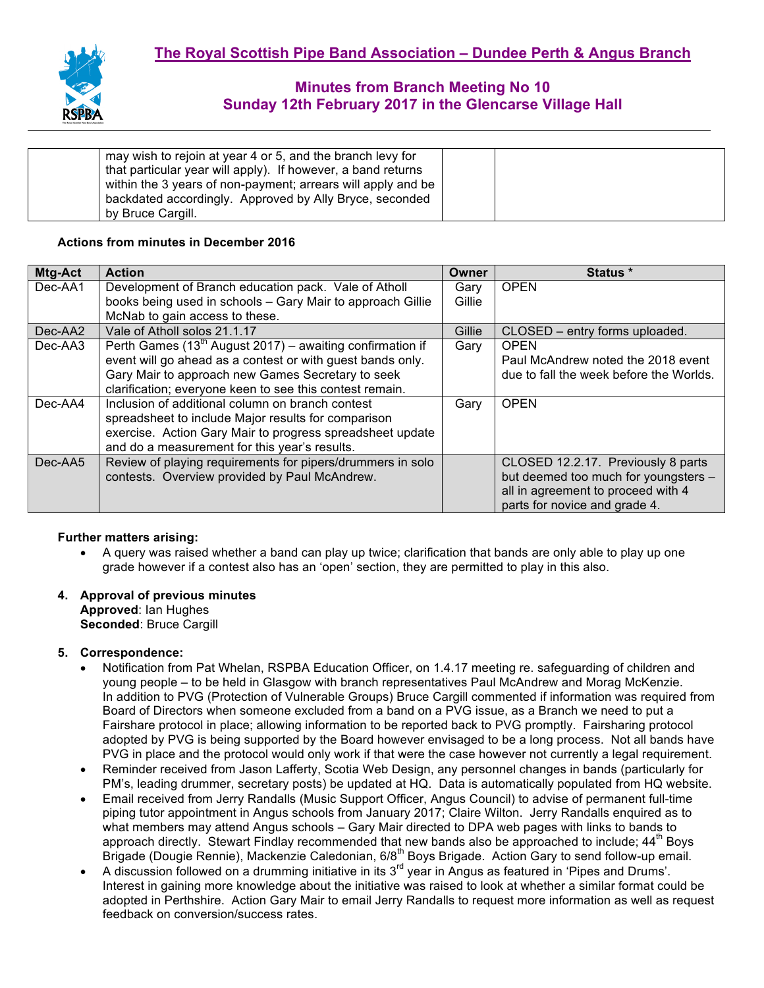| may wish to rejoin at year 4 or 5, and the branch levy for   |  |
|--------------------------------------------------------------|--|
| that particular year will apply). If however, a band returns |  |
|                                                              |  |
| within the 3 years of non-payment; arrears will apply and be |  |
| backdated accordingly. Approved by Ally Bryce, seconded      |  |
| by Bruce Cargill.                                            |  |

#### **Actions from minutes in December 2016**

| Mtg-Act | <b>Action</b>                                                  | Owner  | <b>Status</b> *                         |
|---------|----------------------------------------------------------------|--------|-----------------------------------------|
| Dec-AA1 | Development of Branch education pack. Vale of Atholl           | Gary   | <b>OPEN</b>                             |
|         | books being used in schools - Gary Mair to approach Gillie     | Gillie |                                         |
|         | McNab to gain access to these.                                 |        |                                         |
| Dec-AA2 | Vale of Atholl solos 21.1.17                                   | Gillie | CLOSED - entry forms uploaded.          |
| Dec-AA3 | Perth Games $(13^{th}$ August 2017) – awaiting confirmation if | Gary   | <b>OPEN</b>                             |
|         | event will go ahead as a contest or with guest bands only.     |        | Paul McAndrew noted the 2018 event      |
|         | Gary Mair to approach new Games Secretary to seek              |        | due to fall the week before the Worlds. |
|         | clarification; everyone keen to see this contest remain.       |        |                                         |
| Dec-AA4 | Inclusion of additional column on branch contest               | Gary   | <b>OPEN</b>                             |
|         | spreadsheet to include Major results for comparison            |        |                                         |
|         | exercise. Action Gary Mair to progress spreadsheet update      |        |                                         |
|         | and do a measurement for this year's results.                  |        |                                         |
| Dec-AA5 | Review of playing requirements for pipers/drummers in solo     |        | CLOSED 12.2.17. Previously 8 parts      |
|         | contests. Overview provided by Paul McAndrew.                  |        | but deemed too much for youngsters -    |
|         |                                                                |        | all in agreement to proceed with 4      |
|         |                                                                |        | parts for novice and grade 4.           |

#### **Further matters arising:**

• A query was raised whether a band can play up twice; clarification that bands are only able to play up one grade however if a contest also has an 'open' section, they are permitted to play in this also.

#### **4. Approval of previous minutes Approved**: Ian Hughes

**Seconded**: Bruce Cargill

#### **5. Correspondence:**

- Notification from Pat Whelan, RSPBA Education Officer, on 1.4.17 meeting re. safeguarding of children and young people – to be held in Glasgow with branch representatives Paul McAndrew and Morag McKenzie. In addition to PVG (Protection of Vulnerable Groups) Bruce Cargill commented if information was required from Board of Directors when someone excluded from a band on a PVG issue, as a Branch we need to put a Fairshare protocol in place; allowing information to be reported back to PVG promptly. Fairsharing protocol adopted by PVG is being supported by the Board however envisaged to be a long process. Not all bands have PVG in place and the protocol would only work if that were the case however not currently a legal requirement.
- Reminder received from Jason Lafferty, Scotia Web Design, any personnel changes in bands (particularly for PM's, leading drummer, secretary posts) be updated at HQ. Data is automatically populated from HQ website.
- Email received from Jerry Randalls (Music Support Officer, Angus Council) to advise of permanent full-time piping tutor appointment in Angus schools from January 2017; Claire Wilton. Jerry Randalls enquired as to what members may attend Angus schools – Gary Mair directed to DPA web pages with links to bands to approach directly. Stewart Findlay recommended that new bands also be approached to include; 44<sup>th</sup> Boys Brigade (Dougie Rennie), Mackenzie Caledonian, 6/8<sup>th</sup> Boys Brigade. Action Gary to send follow-up email.
- A discussion followed on a drumming initiative in its  $3^{rd}$  year in Angus as featured in 'Pipes and Drums'. Interest in gaining more knowledge about the initiative was raised to look at whether a similar format could be adopted in Perthshire. Action Gary Mair to email Jerry Randalls to request more information as well as request feedback on conversion/success rates.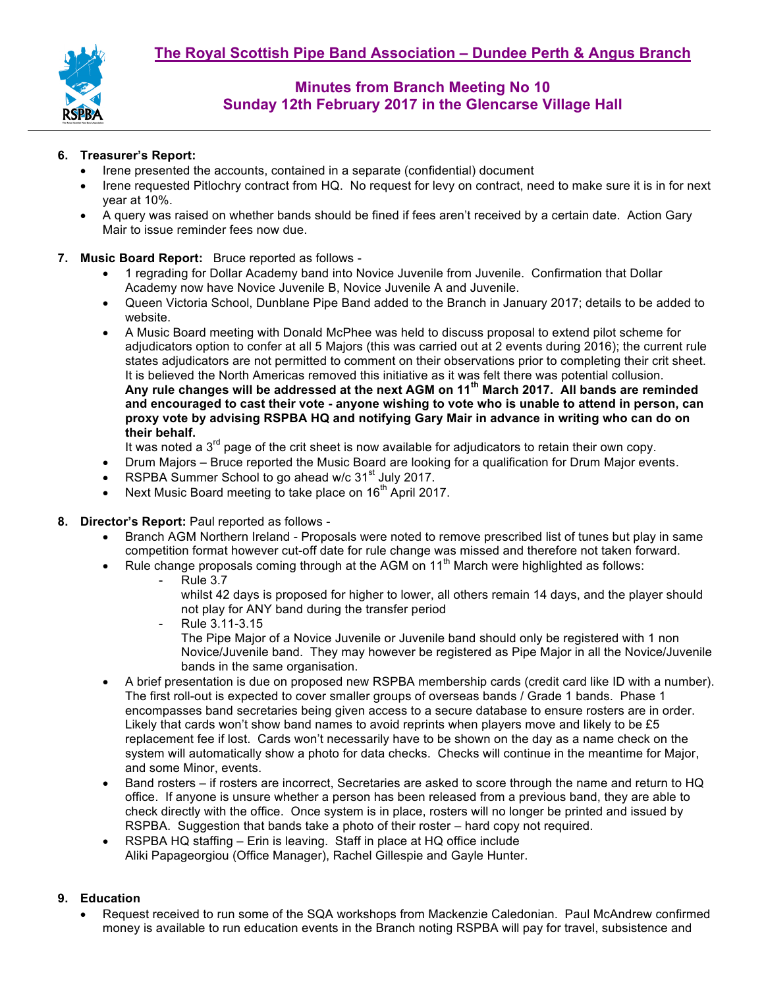

#### **6. Treasurer's Report:**

- Irene presented the accounts, contained in a separate (confidential) document
- Irene requested Pitlochry contract from HQ. No request for levy on contract, need to make sure it is in for next year at 10%.
- A query was raised on whether bands should be fined if fees aren't received by a certain date. Action Gary Mair to issue reminder fees now due.

### **7. Music Board Report:** Bruce reported as follows -

- 1 regrading for Dollar Academy band into Novice Juvenile from Juvenile. Confirmation that Dollar Academy now have Novice Juvenile B, Novice Juvenile A and Juvenile.
- Queen Victoria School, Dunblane Pipe Band added to the Branch in January 2017; details to be added to website.
- A Music Board meeting with Donald McPhee was held to discuss proposal to extend pilot scheme for adjudicators option to confer at all 5 Majors (this was carried out at 2 events during 2016); the current rule states adjudicators are not permitted to comment on their observations prior to completing their crit sheet. It is believed the North Americas removed this initiative as it was felt there was potential collusion. **Any rule changes will be addressed at the next AGM on 11th March 2017. All bands are reminded and encouraged to cast their vote - anyone wishing to vote who is unable to attend in person, can proxy vote by advising RSPBA HQ and notifying Gary Mair in advance in writing who can do on their behalf.**

It was noted a  $3<sup>rd</sup>$  page of the crit sheet is now available for adjudicators to retain their own copy.

- Drum Majors Bruce reported the Music Board are looking for a qualification for Drum Major events.
- RSPBA Summer School to go ahead w/c 31<sup>st</sup> July 2017.
- Next Music Board meeting to take place on 16<sup>th</sup> April 2017.
- **8. Director's Report:** Paul reported as follows
	- Branch AGM Northern Ireland Proposals were noted to remove prescribed list of tunes but play in same competition format however cut-off date for rule change was missed and therefore not taken forward.
	- Rule change proposals coming through at the AGM on  $11<sup>th</sup>$  March were highlighted as follows:
		- Rule 3.7
			- whilst 42 days is proposed for higher to lower, all others remain 14 days, and the player should not play for ANY band during the transfer period
		- Rule 3.11-3.15 The Pipe Major of a Novice Juvenile or Juvenile band should only be registered with 1 non Novice/Juvenile band. They may however be registered as Pipe Major in all the Novice/Juvenile bands in the same organisation.
	- A brief presentation is due on proposed new RSPBA membership cards (credit card like ID with a number). The first roll-out is expected to cover smaller groups of overseas bands / Grade 1 bands. Phase 1 encompasses band secretaries being given access to a secure database to ensure rosters are in order. Likely that cards won't show band names to avoid reprints when players move and likely to be £5 replacement fee if lost. Cards won't necessarily have to be shown on the day as a name check on the system will automatically show a photo for data checks. Checks will continue in the meantime for Major, and some Minor, events.
	- Band rosters if rosters are incorrect, Secretaries are asked to score through the name and return to HQ office. If anyone is unsure whether a person has been released from a previous band, they are able to check directly with the office. Once system is in place, rosters will no longer be printed and issued by RSPBA. Suggestion that bands take a photo of their roster – hard copy not required.
	- RSPBA HQ staffing Erin is leaving. Staff in place at HQ office include Aliki Papageorgiou (Office Manager), Rachel Gillespie and Gayle Hunter.

#### **9. Education**

• Request received to run some of the SQA workshops from Mackenzie Caledonian. Paul McAndrew confirmed money is available to run education events in the Branch noting RSPBA will pay for travel, subsistence and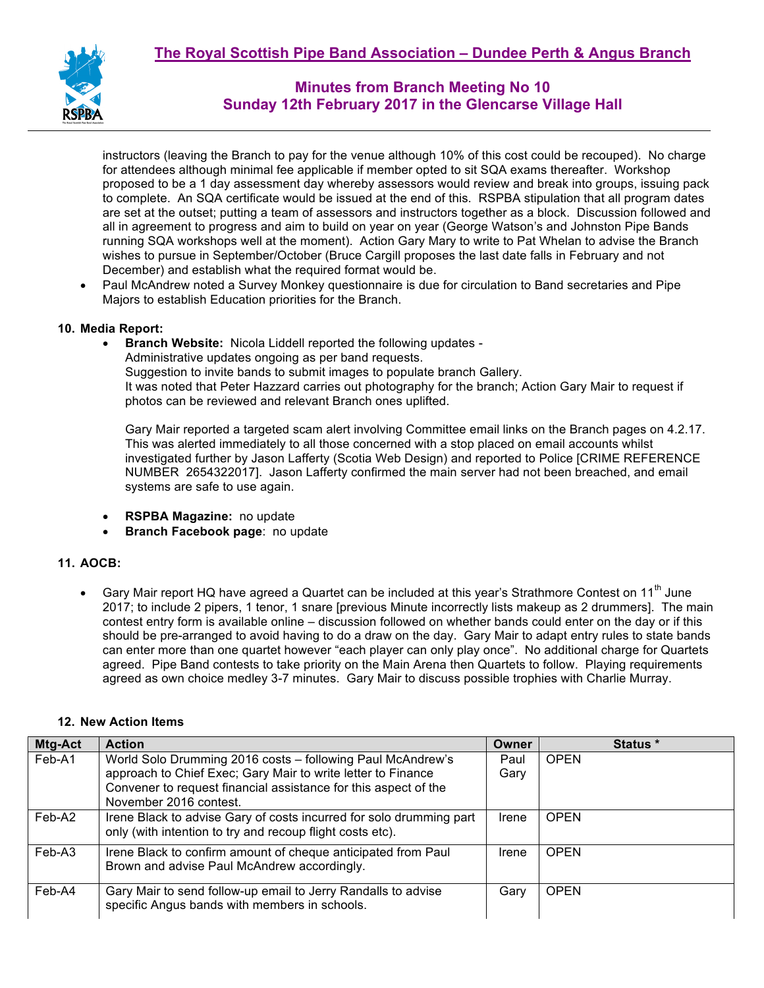

instructors (leaving the Branch to pay for the venue although 10% of this cost could be recouped). No charge for attendees although minimal fee applicable if member opted to sit SQA exams thereafter. Workshop proposed to be a 1 day assessment day whereby assessors would review and break into groups, issuing pack to complete. An SQA certificate would be issued at the end of this. RSPBA stipulation that all program dates are set at the outset; putting a team of assessors and instructors together as a block. Discussion followed and all in agreement to progress and aim to build on year on year (George Watson's and Johnston Pipe Bands running SQA workshops well at the moment). Action Gary Mary to write to Pat Whelan to advise the Branch wishes to pursue in September/October (Bruce Cargill proposes the last date falls in February and not December) and establish what the required format would be.

• Paul McAndrew noted a Survey Monkey questionnaire is due for circulation to Band secretaries and Pipe Majors to establish Education priorities for the Branch.

#### **10. Media Report:**

• **Branch Website:** Nicola Liddell reported the following updates - Administrative updates ongoing as per band requests. Suggestion to invite bands to submit images to populate branch Gallery. It was noted that Peter Hazzard carries out photography for the branch; Action Gary Mair to request if photos can be reviewed and relevant Branch ones uplifted.

Gary Mair reported a targeted scam alert involving Committee email links on the Branch pages on 4.2.17. This was alerted immediately to all those concerned with a stop placed on email accounts whilst investigated further by Jason Lafferty (Scotia Web Design) and reported to Police [CRIME REFERENCE NUMBER 2654322017]. Jason Lafferty confirmed the main server had not been breached, and email systems are safe to use again.

- **RSPBA Magazine:** no update
- **Branch Facebook page**: no update

### **11. AOCB:**

• Gary Mair report HQ have agreed a Quartet can be included at this year's Strathmore Contest on 11<sup>th</sup> June 2017; to include 2 pipers, 1 tenor, 1 snare [previous Minute incorrectly lists makeup as 2 drummers]. The main contest entry form is available online – discussion followed on whether bands could enter on the day or if this should be pre-arranged to avoid having to do a draw on the day. Gary Mair to adapt entry rules to state bands can enter more than one quartet however "each player can only play once". No additional charge for Quartets agreed. Pipe Band contests to take priority on the Main Arena then Quartets to follow. Playing requirements agreed as own choice medley 3-7 minutes. Gary Mair to discuss possible trophies with Charlie Murray.

| Mtg-Act | <b>Action</b>                                                       | Owner | Status *    |
|---------|---------------------------------------------------------------------|-------|-------------|
| Feb-A1  | World Solo Drumming 2016 costs - following Paul McAndrew's          | Paul  | <b>OPEN</b> |
|         | approach to Chief Exec; Gary Mair to write letter to Finance        | Gary  |             |
|         | Convener to request financial assistance for this aspect of the     |       |             |
|         | November 2016 contest.                                              |       |             |
| Feb-A2  | Irene Black to advise Gary of costs incurred for solo drumming part | Irene | <b>OPEN</b> |
|         | only (with intention to try and recoup flight costs etc).           |       |             |
| Feb-A3  | Irene Black to confirm amount of cheque anticipated from Paul       | Irene | <b>OPEN</b> |
|         | Brown and advise Paul McAndrew accordingly.                         |       |             |
|         |                                                                     |       |             |
| Feb-A4  | Gary Mair to send follow-up email to Jerry Randalls to advise       | Gary  | <b>OPEN</b> |
|         | specific Angus bands with members in schools.                       |       |             |

### **12. New Action Items**